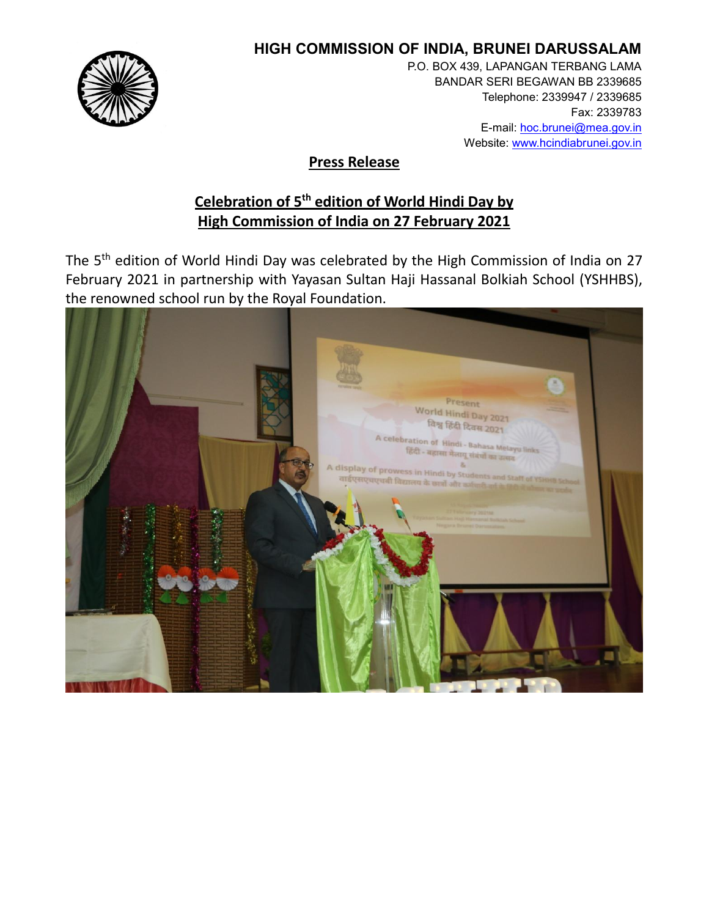

## **HIGH COMMISSION OF INDIA, BRUNEI DARUSSALAM**

P.O. BOX 439, LAPANGAN TERBANG LAMA BANDAR SERI BEGAWAN BB 2339685 Telephone: 2339947 / 2339685 Fax: 2339783 E-mail: hoc.brunei@mea.gov.in Website: www.hcindiabrunei.gov.in

## **Press Release**

## **Celebration of 5th edition of World Hindi Day by High Commission of India on 27 February 2021**

The 5<sup>th</sup> edition of World Hindi Day was celebrated by the High Commission of India on 27 February 2021 in partnership with Yayasan Sultan Haji Hassanal Bolkiah School (YSHHBS), the renowned school run by the Royal Foundation.

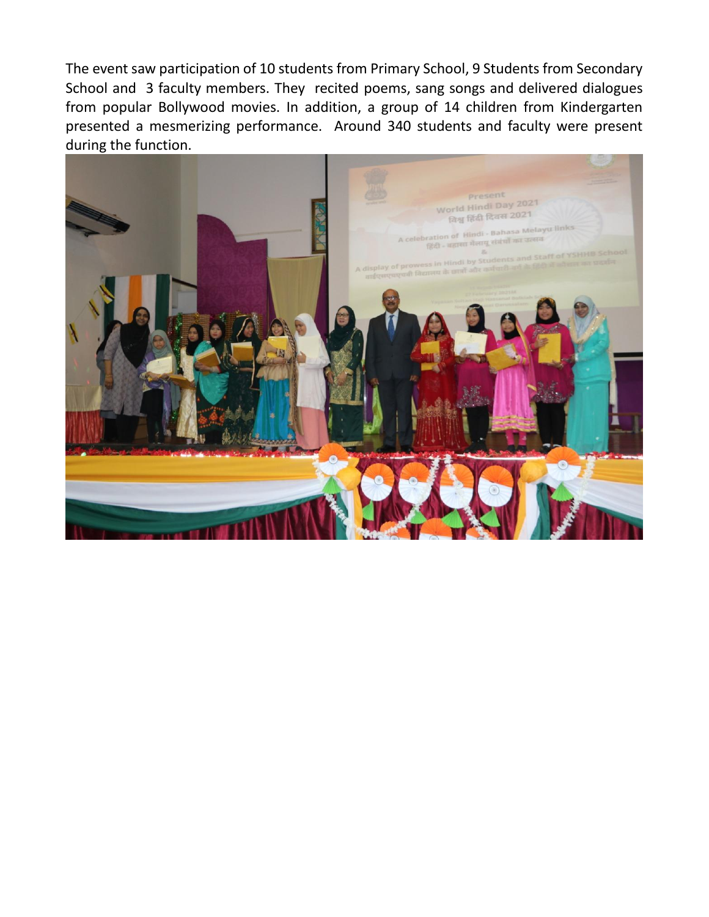The event saw participation of 10 students from Primary School, 9 Students from Secondary School and 3 faculty members. They recited poems, sang songs and delivered dialogues from popular Bollywood movies. In addition, a group of 14 children from Kindergarten presented a mesmerizing performance. Around 340 students and faculty were present during the function.

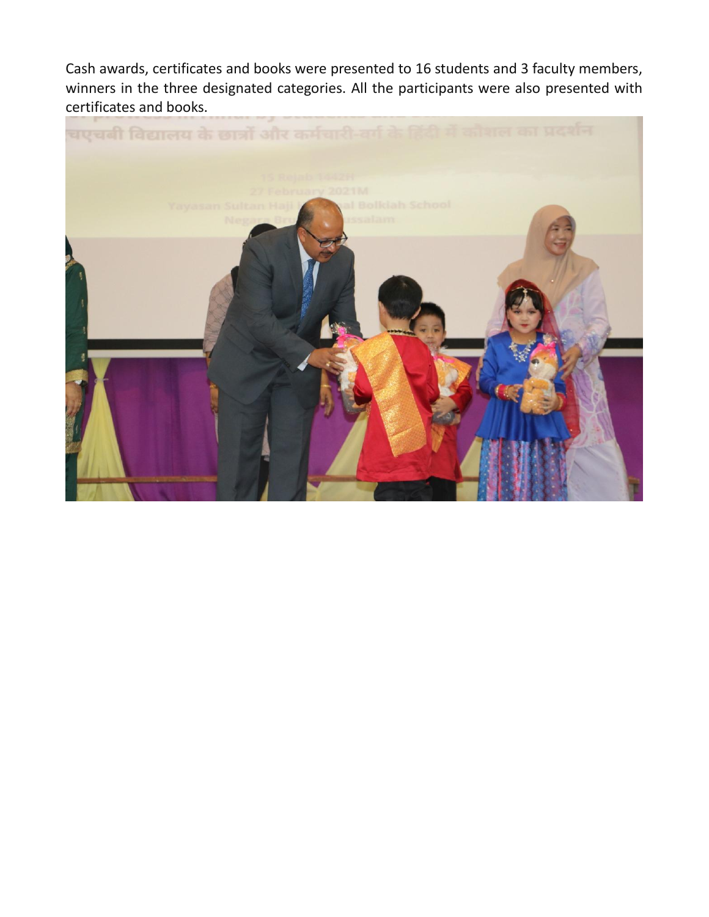Cash awards, certificates and books were presented to 16 students and 3 faculty members, winners in the three designated categories. All the participants were also presented with certificates and books.

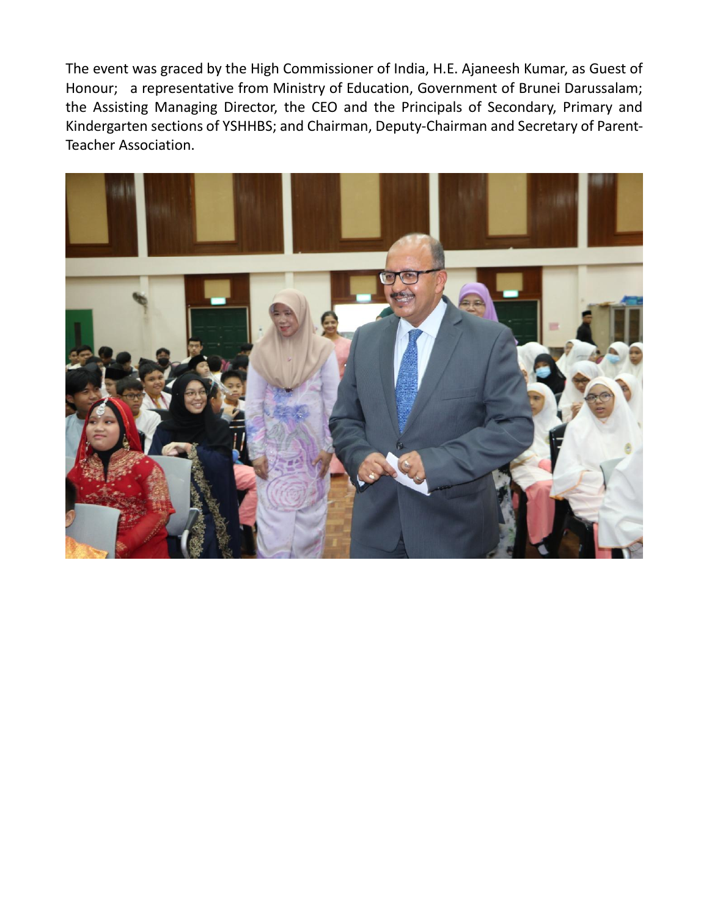The event was graced by the High Commissioner of India, H.E. Ajaneesh Kumar, as Guest of Honour; a representative from Ministry of Education, Government of Brunei Darussalam; the Assisting Managing Director, the CEO and the Principals of Secondary, Primary and Kindergarten sections of YSHHBS; and Chairman, Deputy-Chairman and Secretary of Parent-Teacher Association.

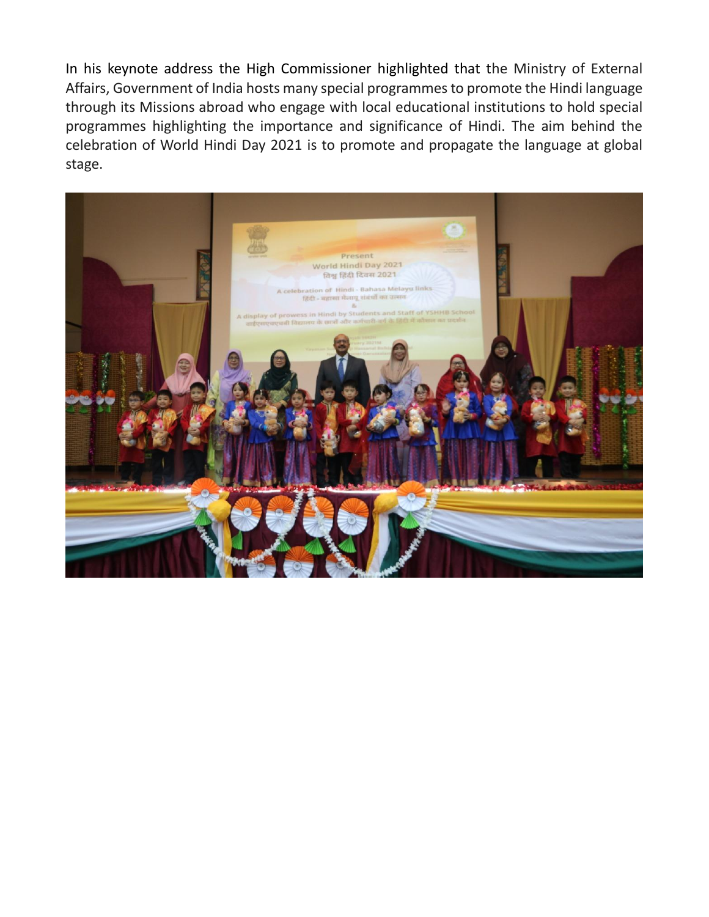In his keynote address the High Commissioner highlighted that the Ministry of External Affairs, Government of India hosts many special programmes to promote the Hindi language through its Missions abroad who engage with local educational institutions to hold special programmes highlighting the importance and significance of Hindi. The aim behind the celebration of World Hindi Day 2021 is to promote and propagate the language at global stage.